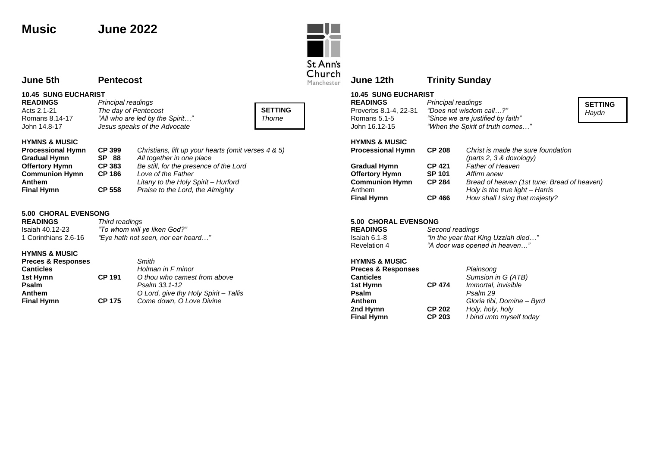# **Music June 2022**

# St Ann's<br>Church Manchester

### **June 12th Trinity Sunday**

**10.45 SUNG EUCHARIST**

| <b>READINGS</b>       | Principal readings                |
|-----------------------|-----------------------------------|
| Proverbs 8.1-4, 22-31 | "Does not wisdom call?"           |
| Romans 5.1-5          | "Since we are justified by faith" |
| John 16.12-15         | "When the Spirit of truth comes"  |
|                       |                                   |

#### **HYMNS & MUSIC**

| <b>Processional Hymn</b> | <b>CP 208</b> | Christ is made the sure foundation<br>$(\text{parts } 2, 3 \& \text{ doxology})$ |
|--------------------------|---------------|----------------------------------------------------------------------------------|
| <b>Gradual Hymn</b>      | <b>CP 421</b> | <b>Father of Heaven</b>                                                          |
| <b>Offertory Hymn</b>    | <b>SP 101</b> | Affirm anew                                                                      |
| <b>Communion Hymn</b>    | <b>CP 284</b> | Bread of heaven (1st tune: Bread of heaven)                                      |
| Anthem                   |               | Holy is the true light - Harris                                                  |
| <b>Final Hymn</b>        | <b>CP 466</b> | How shall I sing that majesty?                                                   |

**SETTING** *Haydn*

#### **5.00 CHORAL EVENSONG**

| <b>READINGS</b>     | Second readings                     |
|---------------------|-------------------------------------|
| Isaiah 6.1-8        | "In the year that King Uzziah died" |
| <b>Revelation 4</b> | "A door was opened in heaven"       |

# **HYMNS & MUSIC**

| <b>Preces &amp; Responses</b> |               | Plainsong                  |
|-------------------------------|---------------|----------------------------|
| <b>Canticles</b>              |               | Sumsion in G (ATB)         |
| 1st Hymn                      | <b>CP 474</b> | Immortal, invisible        |
| Psalm                         |               | Psalm 29                   |
| <b>Anthem</b>                 |               | Gloria tibi, Domine - Byrd |
| 2nd Hymn                      | <b>CP 202</b> | Holy, holy, holy           |
| <b>Final Hymn</b>             | <b>CP 203</b> | I bind unto myself today   |

### **June 5th Pentecost**

#### **10.45 SUNG EUCHARIST**

| וט. און וטטט באוטט |                                 |  |  |
|--------------------|---------------------------------|--|--|
| <b>READINGS</b>    | Principal readings              |  |  |
| Acts 2.1-21        | The day of Pentecost            |  |  |
| Romans 8.14-17     | "All who are led by the Spirit" |  |  |
| John 14.8-17       | Jesus speaks of the Advocate    |  |  |



#### **HYMNS & MUSIC**

| <b>Processional Hymn</b> | CP 399        | Christians, lift up your hearts (omit verses 4 & 5) |
|--------------------------|---------------|-----------------------------------------------------|
| <b>Gradual Hymn</b>      | <b>SP 88</b>  | All together in one place                           |
| <b>Offertory Hymn</b>    | <b>CP 383</b> | Be still, for the presence of the Lord              |
| <b>Communion Hymn</b>    | <b>CP 186</b> | Love of the Father                                  |
| Anthem                   |               | Litany to the Holy Spirit - Hurford                 |
| <b>Final Hymn</b>        | <b>CP 558</b> | Praise to the Lord, the Almighty                    |

#### **5.00 CHORAL EVENSONG**

| <b>READINGS</b>      | Third readings                     |
|----------------------|------------------------------------|
| Isaiah 40.12-23      | "To whom will ye liken God?"       |
| 1 Corinthians 2.6-16 | "Eye hath not seen, nor ear heard" |

### **HYMNS & MUSIC**

| <b>Preces &amp; Responses</b> |               | Smith                                 |
|-------------------------------|---------------|---------------------------------------|
| <b>Canticles</b>              |               | Holman in F minor                     |
| 1st Hymn                      | <b>CP 191</b> | O thou who camest from above          |
| <b>Psalm</b>                  |               | Psalm 33.1-12                         |
| Anthem                        |               | O Lord, give thy Holy Spirit - Tallis |
| <b>Final Hymn</b>             | <b>CP 175</b> | Come down, O Love Divine              |